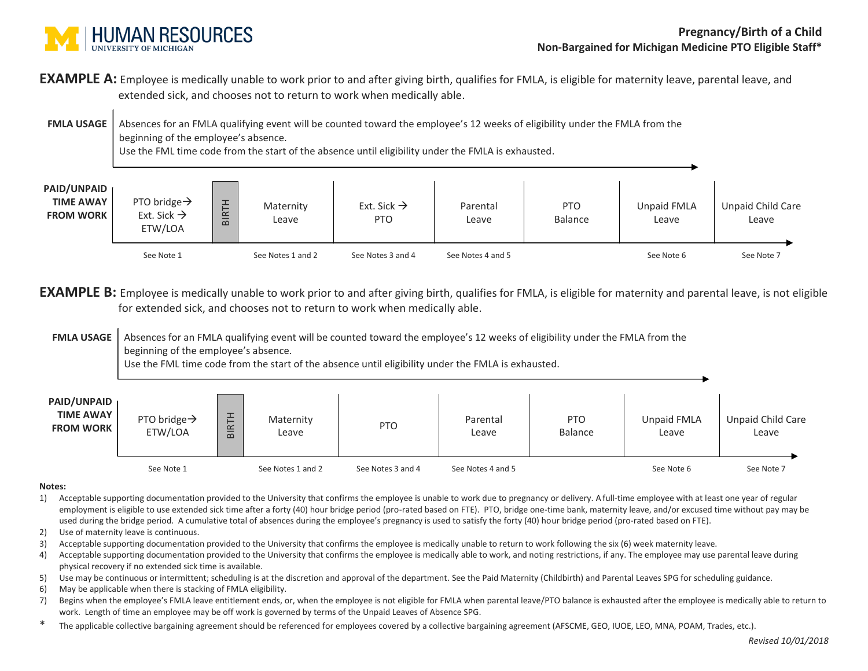

**EXAMPLE A:** Employee is medically unable to work prior to and after giving birth, qualifies for FMLA, is eligible for maternity leave, parental leave, and extended sick, and chooses not to return to work when medically able.

**FMLA USAGE** Absences for an FMLA qualifying event will be counted toward the employee's 12 weeks of eligibility under the FMLA from the beginning of the employee's absence. Use the FML time code from the start of the absence until eligibility under the FMLA is exhausted.



**EXAMPLE B:** Employee is medically unable to work prior to and after giving birth, qualifies for FMLA, is eligible for maternity and parental leave, is not eligible for extended sick, and chooses not to return to work when medically able.

**FMLA USAGE** Absences for an FMLA qualifying event will be counted toward the employee's 12 weeks of eligibility under the FMLA from the beginning of the employee's absence.

Use the FML time code from the start of the absence until eligibility under the FMLA is exhausted.

| <b>PAID/UNPAID</b><br><b>TIME AWAY</b><br><b>FROM WORK</b> | PTO bridge $\rightarrow$<br>ETW/LOA | 논<br>$\simeq$<br>$\overline{\mathbf{B}}$ | Maternity<br>Leave | PTO               | Parental<br>Leave | <b>PTO</b><br>Balance | Unpaid FMLA<br>Leave | Unpaid Child Care<br>Leave |
|------------------------------------------------------------|-------------------------------------|------------------------------------------|--------------------|-------------------|-------------------|-----------------------|----------------------|----------------------------|
|                                                            | See Note 1                          |                                          | See Notes 1 and 2  | See Notes 3 and 4 | See Notes 4 and 5 |                       | See Note 6           | See Note 7                 |

## **Notes:**

- 1) Acceptable supporting documentation provided to the University that confirms the employee is unable to work due to pregnancy or delivery. Afull-time employee with at least one year of regular employment is eligible to use extended sick time after a forty (40) hour bridge period (pro-rated based on FTE). PTO, bridge one-time bank, maternity leave, and/or excused time without pay may be used during the bridge period. A cumulative total of absences during the employee's pregnancy is used to satisfy the forty (40) hour bridge period (pro-rated based on FTE).
- 2) Use of maternity leave is continuous.
- 3) Acceptable supporting documentation provided to the University that confirms the employee is medically unable to return to work following the six (6) week maternity leave.
- 4) Acceptable supporting documentation provided to the University that confirms the employee is medically able to work, and noting restrictions, if any. The employee may use parental leave during physical recovery if no extended sick time is available.
- 5) Use may be continuous or intermittent; scheduling is at the discretion and approval of the department. See the Paid Maternity (Childbirth) and Parental Leaves SPG for scheduling guidance.
- 6) May be applicable when there is stacking of FMLA eligibility.
- 7) Begins when the employee's FMLA leave entitlement ends, or, when the employee is not eligible for FMLA when parental leave/PTO balance is exhausted after the employee is medically able to return to work. Length of time an employee may be off work is governed by terms of the Unpaid Leaves of Absence SPG.
- \* The applicable collective bargaining agreement should be referenced for employees covered by a collective bargaining agreement (AFSCME, GEO, IUOE, LEO, MNA, POAM, Trades, etc.).